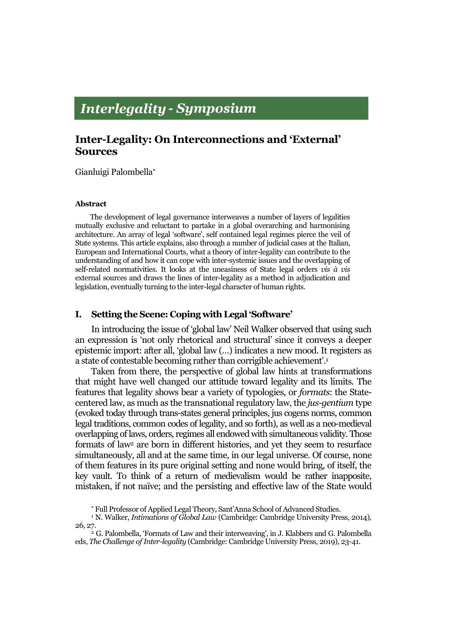# **Interlegality - Symposium**

## **Inter-Legality: On Interconnections and 'External' Sources**

Gianluigi Palombella

#### **Abstract**

The development of legal governance interweaves a number of layers of legalities mutually exclusive and reluctant to partake in a global overarching and harmonising architecture. An array of legal 'software', self contained legal regimes pierce the veil of State systems. This article explains, also through a number of judicial cases at the Italian, European and International Courts, what a theory of inter-legality can contribute to the understanding of and how it can cope with inter-systemic issues and the overlapping of self-related normativities. It looks at the uneasiness of State legal orders *vis à vis* external sources and draws the lines of inter-legality as a method in adjudication and legislation, eventually turning to the inter-legal character of human rights.

## **I. Setting the Scene: Coping with Legal 'Software'**

In introducing the issue of 'global law' Neil Walker observed that using such an expression is 'not only rhetorical and structural' since it conveys a deeper epistemic import: after all, 'global law (…) indicates a new mood. It registers as a state of contestable becoming rather than corrigible achievement'.<sup>1</sup>

Taken from there, the perspective of global law hints at transformations that might have well changed our attitude toward legality and its limits. The features that legality shows bear a variety of typologies, or *formats*: the Statecentered law, as much as the transnational regulatory law, the *jus-gentium* type (evoked today through trans-states general principles, jus cogens norms, common legal traditions, common codes of legality, and so forth), as well as a neo-medieval overlapping of laws, orders, regimes all endowed with simultaneous validity. Those formats of law<sup>2</sup> are born in different histories, and yet they seem to resurface simultaneously, all and at the same time, in our legal universe. Of course, none of them features in its pure original setting and none would bring, of itself, the key vault. To think of a return of medievalism would be rather inapposite, mistaken, if not naïve; and the persisting and effective law of the State would

Full Professor of Applied Legal Theory, Sant'Anna School of Advanced Studies.

<sup>&</sup>lt;sup>1</sup> N. Walker, *Intimations of Global Law* (Cambridge: Cambridge University Press, 2014), 26, 27.

 $2^2$  G. Palombella, 'Formats of Law and their interweaving', in J. Klabbers and G. Palombella eds, *The Challenge of Inter-legality* (Cambridge: Cambridge University Press, 2019), 23-41.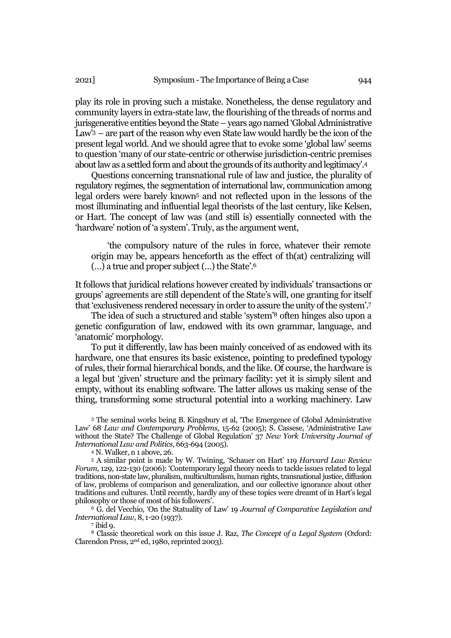play its role in proving such a mistake. Nonetheless, the dense regulatory and community layers in extra-state law, the flourishing of the threads of norms and jurisgenerative entities beyond the State – years ago named 'Global Administrative Law'<sup>3</sup> – are part of the reason why even State law would hardly be the icon of the present legal world. And we should agree that to evoke some 'global law' seems to question 'many of our state-centric or otherwise jurisdiction-centric premises about law as a settled form and about the grounds of its authority and legitimacy'.<sup>4</sup>

Questions concerning transnational rule of law and justice, the plurality of regulatory regimes, the segmentation of international law, communication among legal orders were barely known<sup>5</sup> and not reflected upon in the lessons of the most illuminating and influential legal theorists of the last century, like Kelsen, or Hart. The concept of law was (and still is) essentially connected with the 'hardware' notion of 'a system'. Truly, as the argument went,

'the compulsory nature of the rules in force, whatever their remote origin may be, appears henceforth as the effect of th(at) centralizing will (…) a true and proper subject (…) the State'. 6

It follows that juridical relations however created by individuals' transactions or groups' agreements are still dependent of the State's will, one granting for itself that 'exclusiveness rendered necessary in order to assure the unity of the system'.<sup>7</sup>

The idea of such a structured and stable 'system'<sup>8</sup> often hinges also upon a genetic configuration of law, endowed with its own grammar, language, and 'anatomic' morphology.

To put it differently, law has been mainly conceived of as endowed with its hardware, one that ensures its basic existence, pointing to predefined typology of rules, their formal hierarchical bonds, and the like. Of course, the hardware is a legal but 'given' structure and the primary facility: yet it is simply silent and empty, without its enabling software*.* The latter allows us making sense of the thing, transforming some structural potential into a working machinery. Law

<sup>3</sup> The seminal works being B. Kingsbury et al, 'The Emergence of Global Administrative Law' 68 *Law and Contemporary Problems*, 15-62 (2005); S. Cassese, 'Administrative Law without the State? The Challenge of Global Regulation' 37 *New York University Journal of International Law and Politics*, 663-694 (2005).

<sup>4</sup> N. Walker, n 1 above, 26.

<sup>5</sup> A similar point is made by W. Twining, 'Schauer on Hart' 119 *Harvard Law Review Forum*, 129, 122-130 (2006): 'Contemporary legal theory needs to tackle issues related to legal traditions, non-state law, pluralism, multiculturalism, human rights, transnational justice, diffusion of law, problems of comparison and generalization, and our collective ignorance about other traditions and cultures. Until recently, hardly any of these topics were dreamt of in Hart's legal philosophy or those of most of his followers'.

<sup>6</sup> G. del Vecchio, 'On the Statuality of Law' 19 *Journal of Comparative Legislation and International Law*, 8, 1-20 (1937).

7 ibid 9.

<sup>8</sup> Classic theoretical work on this issue J. Raz, *The Concept of a Legal System* (Oxford: Clarendon Press, 2nd ed, 1980, reprinted 2003).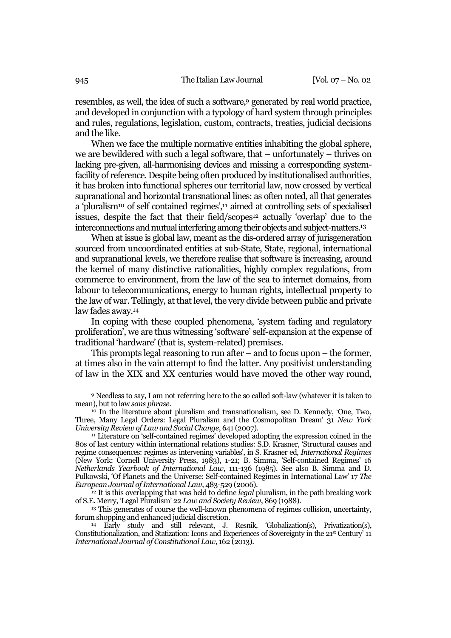resembles, as well, the idea of such a software,<sup>9</sup> generated by real world practice, and developed in conjunction with a typology of hard system through principles and rules, regulations, legislation, custom, contracts, treaties, judicial decisions and the like.

When we face the multiple normative entities inhabiting the global sphere, we are bewildered with such a legal software, that – unfortunately – thrives on lacking pre-given, all-harmonising devices and missing a corresponding systemfacility of reference. Despite being often produced by institutionalised authorities, it has broken into functional spheres our territorial law, now crossed by vertical supranational and horizontal transnational lines: as often noted, all that generates a 'pluralism<sup>10</sup> of self contained regimes',<sup>11</sup> aimed at controlling sets of specialised issues, despite the fact that their field/scopes<sup>12</sup> actually 'overlap' due to the interconnections and mutual interfering among their objects and subject-matters.<sup>13</sup>

When at issue is global law, meant as the dis-ordered array of jurisgeneration sourced from uncoordinated entities at sub-State, State, regional, international and supranational levels, we therefore realise that software is increasing, around the kernel of many distinctive rationalities, highly complex regulations, from commerce to environment, from the law of the sea to internet domains, from labour to telecommunications, energy to human rights, intellectual property to the law of war. Tellingly, at that level, the very divide between public and private law fades away.<sup>14</sup>

In coping with these coupled phenomena, 'system fading and regulatory proliferation', we are thus witnessing 'software' self-expansion at the expense of traditional 'hardware' (that is, system-related) premises.

This prompts legal reasoning to run after – and to focus upon – the former, at times also in the vain attempt to find the latter. Any positivist understanding of law in the XIX and XX centuries would have moved the other way round,

<sup>9</sup> Needless to say, I am not referring here to the so called soft-law (whatever it is taken to mean), but to law *sans phrase*.

 $\frac{10}{10}$  In the literature about pluralism and transnationalism, see D. Kennedy, 'One, Two, Three, Many Legal Orders: Legal Pluralism and the Cosmopolitan Dream' 31 *New York University Review of Law and Social Change*, 641 (2007).

<sup>11</sup> Literature on 'self-contained regimes' developed adopting the expression coined in the 80s of last century within international relations studies: S.D. Krasner, 'Structural causes and regime consequences: regimes as intervening variables', in S. Krasner ed, *International Regimes* (New York: Cornell University Press, 1983), 1-21; B. Simma, 'Self-contained Regimes' 16 *Netherlands Yearbook of International Law*, 111-136 (1985). See also B. Simma and D. Pulkowski, 'Of Planets and the Universe: Self-contained Regimes in International Law' 17 *The European Journal of International Law*, 483-529 (2006).

<sup>12</sup> It is this overlapping that was held to define *legal* pluralism, in the path breaking work of S.E. Merry, 'Legal Pluralism' 22 *Law and Society Review*, 869 (1988).

<sup>13</sup> This generates of course the well-known phenomena of regimes collision, uncertainty, forum shopping and enhanced judicial discretion.

<sup>14</sup> Early study and still relevant, J. Resnik, 'Globalization(s), Privatization(s), Constitutionalization, and Statization: Icons and Experiences of Sovereignty in the  $21<sup>st</sup>$  Century' 11 *International Journal of Constitutional Law*, 162 (2013).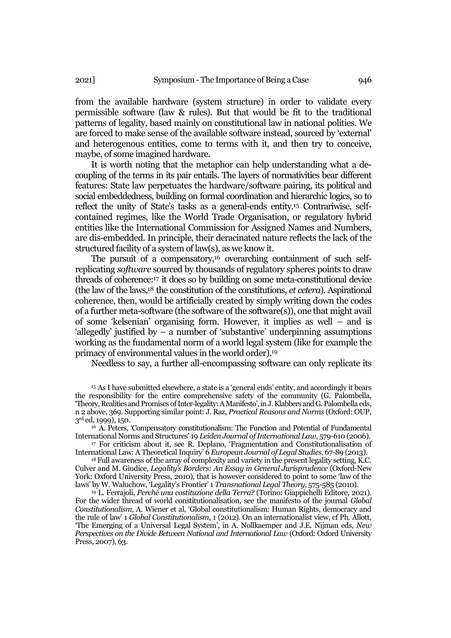from the available hardware (system structure) in order to validate every permissible software (law & rules). But that would be fit to the traditional patterns of legality, based mainly on constitutional law in national polities. We are forced to make sense of the available software instead, sourced by 'external' and heterogenous entities, come to terms with it, and then try to conceive, maybe, of some imagined hardware.

It is worth noting that the metaphor can help understanding what a decoupling of the terms in its pair entails. The layers of normativities bear different features: State law perpetuates the hardware/software pairing, its political and social embeddedness, building on formal coordination and hierarchic logics, so to reflect the unity of State's tasks as a general-ends entity.<sup>15</sup> Contrariwise, selfcontained regimes, like the World Trade Organisation, or regulatory hybrid entities like the International Commission for Assigned Names and Numbers, are dis-embedded. In principle, their deracinated nature reflects the lack of the structured facility of a system of law(s), as we know it.

The pursuit of a compensatory,<sup>16</sup> overarching containment of such selfreplicating *software* sourced by thousands of regulatory spheres points to draw threads of coherence:<sup>17</sup> it does so by building on some meta-constitutional device (the law of the laws,<sup>18</sup> the constitution of the constitutions, *et cetera*). Aspirational coherence, then, would be artificially created by simply writing down the codes of a further meta-software (the software of the software(s)), one that might avail of some 'kelsenian' organising form. However, it implies as well – and is 'allegedly' justified by – a number of 'substantive' underpinning assumptions working as the fundamental norm of a world legal system (like for example the primacy of environmental values in the world order).<sup>19</sup>

Needless to say, a further all-encompassing software can only replicate its

<sup>15</sup> As I have submitted elsewhere, a state is a 'general ends' entity, and accordingly it bears the responsibility for the entire comprehensive safety of the community (G. Palombella, 'Theory, Realities and Promises of Inter-legality: A Manifesto', in J. Klabbers and G. Palombella eds, n 2 above, 369. Supporting similar point: J. Raz, *Practical Reasons and Norms* (Oxford: OUP, 3rd ed, 1999), 150.

<sup>16</sup> A. Peters, 'Compensatory constitutionalism: The Function and Potential of Fundamental International Norms and Structures' 19 *Leiden Journal ofInternational Law*, 579-610 (2006).

<sup>17</sup> For criticism about it, see R. Deplano, 'Fragmentation and Constitutionalisation of International Law: A Theoretical Inquiry' 6 *European Journal of Legal Studies*, 67-89 (2013).

<sup>18</sup> Full awareness of the array of complexity and variety in the present legality setting, K.C. Culver and M. Giudice, *Legality's Borders: An Essay in General Jurisprudence* (Oxford-New York: Oxford University Press, 2010), that is however considered to point to some 'law of the laws' by W. Waluchow, 'Legality's Frontier' 1 *Transnational Legal Theory*, 575-585 (2010).

<sup>19</sup> L. Ferrajoli, *Perché una costituzione della Terra?* (Torino: Giappichelli Editore, 2021). For the wider thread of world constitutionalisation, see the manifesto of the journal *Global Constitutionalism*, A. Wiener et al, 'Global constitutionalism: Human Rights, democracy and the rule of law' 1 *Global Constitutionalism*, 1 (2012). On an internationalist view, cf Ph. Allott, 'The Emerging of a Universal Legal System', in A. Nollkaemper and J.E. Nijman eds, *New Perspectives on the Divide Between National and International Law* (Oxford: Oxford University Press, 2007), 63.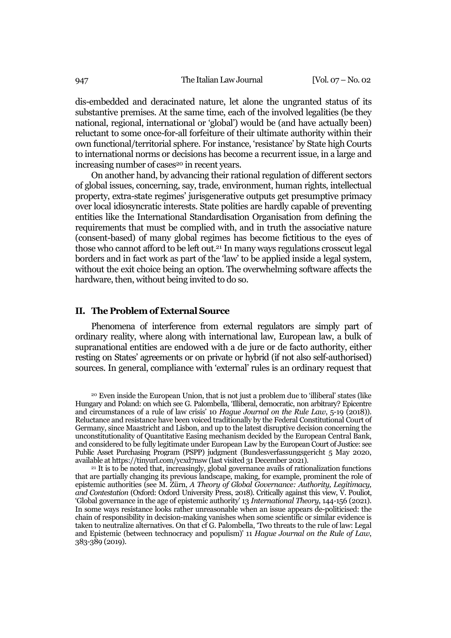dis-embedded and deracinated nature, let alone the ungranted status of its substantive premises. At the same time, each of the involved legalities (be they national, regional, international or 'global') would be (and have actually been) reluctant to some once-for-all forfeiture of their ultimate authority within their own functional/territorial sphere. For instance, 'resistance' by State high Courts to international norms or decisions has become a recurrent issue, in a large and increasing number of cases<sup>20</sup> in recent years.

On another hand, by advancing their rational regulation of different sectors of global issues, concerning, say, trade, environment, human rights, intellectual property, extra-state regimes' jurisgenerative outputs get presumptive primacy over local idiosyncratic interests. State polities are hardly capable of preventing entities like the International Standardisation Organisation from defining the requirements that must be complied with, and in truth the associative nature (consent-based) of many global regimes has become fictitious to the eyes of those who cannot afford to be left out.<sup>21</sup> In many ways regulations crosscut legal borders and in fact work as part of the 'law' to be applied inside a legal system, without the exit choice being an option. The overwhelming software affects the hardware, then, without being invited to do so.

### **II. The Problem of External Source**

Phenomena of interference from external regulators are simply part of ordinary reality, where along with international law, European law, a bulk of supranational entities are endowed with a de jure or de facto authority, either resting on States' agreements or on private or hybrid (if not also self-authorised) sources. In general, compliance with 'external' rules is an ordinary request that

<sup>20</sup> Even inside the European Union, that is not just a problem due to 'illiberal' states (like Hungary and Poland: on which see G. Palombella, 'Illiberal, democratic, non arbitrary? Epicentre and circumstances of a rule of law crisis' 10 *Hague Journal on the Rule Law*, 5-19 (2018)). Reluctance and resistance have been voiced traditionally by the Federal Constitutional Court of Germany, since Maastricht and Lisbon, and up to the latest disruptive decision concerning the unconstitutionality of Quantitative Easing mechanism decided by the European Central Bank, and considered to be fully legitimate under European Law by the European Court of Justice: see Public Asset Purchasing Program (PSPP) judgment (Bundesverfassungsgericht 5 May 2020, available at https://tinyurl.com/ycxd7nsw (last visited 31 December 2021).

<sup>&</sup>lt;sup>21</sup> It is to be noted that, increasingly, global governance avails of rationalization functions that are partially changing its previous landscape, making, for example, prominent the role of epistemic authorities (see M. Zürn, *A Theory of Global Governance: Authority, Legitimacy, and Contestation* (Oxford: Oxford University Press, 2018). Critically against this view, V. Pouliot, 'Global governance in the age of epistemic authority' 13 *International Theory*, 144-156 (2021). In some ways resistance looks rather unreasonable when an issue appears de-politicised: the chain of responsibility in decision-making vanishes when some scientific or similar evidence is taken to neutralize alternatives. On that cf G. Palombella, 'Two threats to the rule of law: Legal and Epistemic (between technocracy and populism)' 11 *Hague Journal on the Rule of Law*, 383-389 (2019).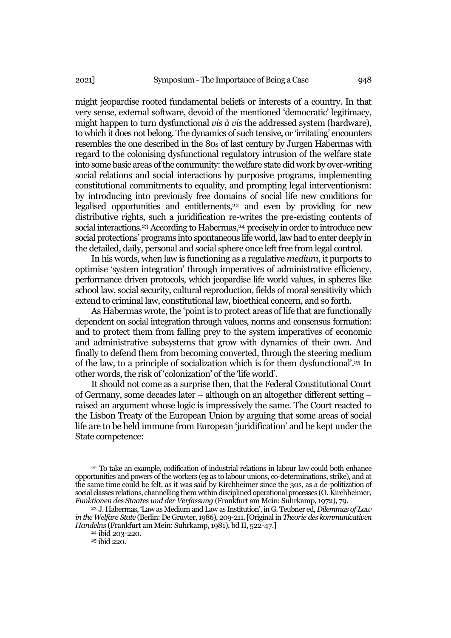might jeopardise rooted fundamental beliefs or interests of a country. In that very sense, external software, devoid of the mentioned 'democratic' legitimacy, might happen to turn dysfunctional *vis à vis* the addressed system (hardware), to which it does not belong. The dynamics of such tensive, or 'irritating' encounters resembles the one described in the 80s of last century by Jurgen Habermas with regard to the colonising dysfunctional regulatory intrusion of the welfare state into some basic areas of the community: the welfare state did work by over-writing social relations and social interactions by purposive programs, implementing constitutional commitments to equality, and prompting legal interventionism: by introducing into previously free domains of social life new conditions for legalised opportunities and entitlements,<sup>22</sup> and even by providing for new distributive rights, such a juridification re-writes the pre-existing contents of social interactions.<sup>23</sup> According to Habermas.<sup>24</sup> precisely in order to introduce new social protections' programs into spontaneous life world, law had to enter deeply in the detailed, daily, personal and social sphere once left free from legal control.

In his words, when law is functioning as a regulative *medium*, it purports to optimise 'system integration' through imperatives of administrative efficiency, performance driven protocols, which jeopardise life world values, in spheres like school law, social security, cultural reproduction, fields of moral sensitivity which extend to criminal law, constitutional law, bioethical concern, and so forth.

As Habermas wrote, the 'point is to protect areas of life that are functionally dependent on social integration through values, norms and consensus formation: and to protect them from falling prey to the system imperatives of economic and administrative subsystems that grow with dynamics of their own. And finally to defend them from becoming converted, through the steering medium of the law, to a principle of socialization which is for them dysfunctional'.<sup>25</sup> In other words, the risk of 'colonization' of the 'life world'.

It should not come as a surprise then, that the Federal Constitutional Court of Germany, some decades later – although on an altogether different setting – raised an argument whose logic is impressively the same. The Court reacted to the Lisbon Treaty of the European Union by arguing that some areas of social life are to be held immune from European 'juridification' and be kept under the State competence:

<sup>22</sup> To take an example, codification of industrial relations in labour law could both enhance opportunities and powers of the workers (eg as to labour unions, co-determinations, strike), and at the same time could be felt, as it was said by Kirchheimer since the 30s, as a de-politization of social classes relations, channelling them within disciplined operational processes (O. Kirchheimer, *Funktionen des Staates und der Verfassung* (Frankfurt am Mein: Suhrkamp, 1972), 79.

<sup>23</sup> J. Habermas, 'Law as Medium and Law as Institution', in G. Teubner ed, *Dilemmas of Law in the Welfare State* (Berlin: De Gruyter, 1986), 209-211. [Original in *Theorie des kommunicativen Handelns* (Frankfurt am Mein: Suhrkamp, 1981), bd II, 522-47.]

<sup>24</sup> ibid 203-220.

<sup>25</sup> ibid 220.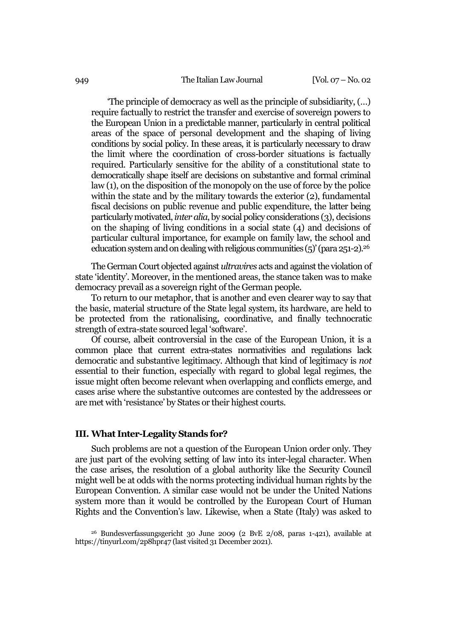#### 949 The Italian Law Journal [Vol. 07 – No. 02]

'The principle of democracy as well as the principle of subsidiarity, (…) require factually to restrict the transfer and exercise of sovereign powers to the European Union in a predictable manner, particularly in central political areas of the space of personal development and the shaping of living conditions by social policy. In these areas, it is particularly necessary to draw the limit where the coordination of cross-border situations is factually required. Particularly sensitive for the ability of a constitutional state to democratically shape itself are decisions on substantive and formal criminal law (1), on the disposition of the monopoly on the use of force by the police within the state and by the military towards the exterior (2), fundamental fiscal decisions on public revenue and public expenditure, the latter being particularly motivated,*inter alia*, by social policy considerations (3), decisions on the shaping of living conditions in a social state (4) and decisions of particular cultural importance, for example on family law, the school and education system and on dealing with religious communities  $(5)'$  (para 251-2).<sup>26</sup>

The German Court objected against *ultravires* acts and against the violation of state 'identity'. Moreover, in the mentioned areas, the stance taken was to make democracy prevail as a sovereign right of the German people.

To return to our metaphor, that is another and even clearer way to say that the basic, material structure of the State legal system, its hardware, are held to be protected from the rationalising, coordinative, and finally technocratic strength of extra-state sourced legal 'software'.

Of course, albeit controversial in the case of the European Union, it is a common place that current extra-states normativities and regulations lack democratic and substantive legitimacy. Although that kind of legitimacy is *not*  essential to their function, especially with regard to global legal regimes, the issue might often become relevant when overlapping and conflicts emerge, and cases arise where the substantive outcomes are contested by the addressees or are met with 'resistance' by States or their highest courts.

#### **III. What Inter-Legality Stands for?**

Such problems are not a question of the European Union order only. They are just part of the evolving setting of law into its inter-legal character. When the case arises, the resolution of a global authority like the Security Council might well be at odds with the norms protecting individual human rights by the European Convention. A similar case would not be under the United Nations system more than it would be controlled by the European Court of Human Rights and the Convention's law. Likewise, when a State (Italy) was asked to

<sup>26</sup> Bundesverfassungsgericht 30 June 2009 (2 BvE 2/08, paras 1-421), available at https://tinyurl.com/2p8hpr47 (last visited 31 December 2021).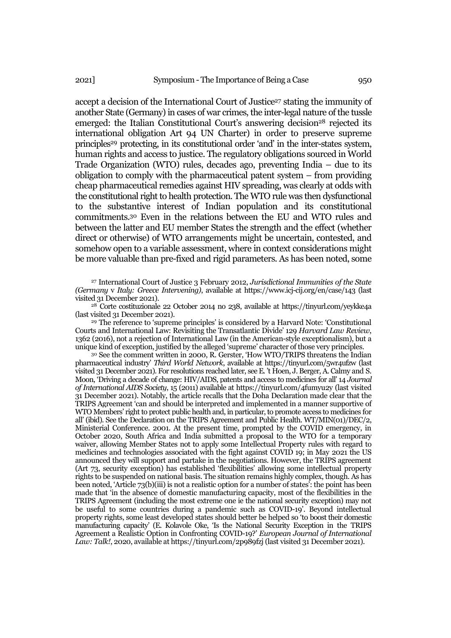accept a decision of the International Court of Justice<sup>27</sup> stating the immunity of another State (Germany) in cases of war crimes, the inter-legal nature of the tussle emerged: the Italian Constitutional Court's answering decision<sup>28</sup> rejected its international obligation Art 94 UN Charter) in order to preserve supreme principles<sup>29</sup> protecting, in its constitutional order 'and' in the inter-states system, human rights and access to justice. The regulatory obligations sourced in World Trade Organization (WTO) rules, decades ago, preventing India – due to its obligation to comply with the pharmaceutical patent system – from providing cheap pharmaceutical remedies against HIV spreading, was clearly at odds with the constitutional right to health protection. The WTO rule was then dysfunctional to the substantive interest of Indian population and its constitutional commitments.<sup>30</sup> Even in the relations between the EU and WTO rules and between the latter and EU member States the strength and the effect (whether direct or otherwise) of WTO arrangements might be uncertain, contested, and somehow open to a variable assessment, where in context considerations might be more valuable than pre-fixed and rigid parameters. As has been noted, some

<sup>27</sup> International Court of Justice 3 February 2012, *Jurisdictional Immunities of the State (Germany* v *Italy: Greece Intervening)*, available at https://www.icj-cij.org/en/case/143 (last visited 31 December 2021).

<sup>28</sup> Corte costituzionale 22 October 2014 no 238, available at https://tinyurl.com/yeykke4a (last visited 31 December 2021).

<sup>29</sup> The reference to 'supreme principles' is considered by a Harvard Note: 'Constitutional Courts and International Law: Revisiting the Transatlantic Divide' 129 *Harvard Law Review*, 1362 (2016), not a rejection of International Law (in the American-style exceptionalism), but a unique kind of exception, justified by the alleged 'supreme' character of those very principles.

<sup>30</sup> See the comment written in 2000, R. Gerster, 'How WTO/TRIPS threatens the Indian pharmaceutical industry' *Third World Network*, available at https://tinyurl.com/5wr4ufzw (last visited 31 December 2021). For resolutions reached later, see E. 't Hoen, J. Berger, A. Calmy and S. Moon, 'Driving a decade of change: HIV/AIDS, patents and access to medicines for all' 14 *[Journal](https://www.ncbi.nlm.nih.gov/pmc/articles/PMC3078828/)  [of International AIDS Society](https://www.ncbi.nlm.nih.gov/pmc/articles/PMC3078828/)*, 15 (2011) available at https://tinyurl.com/4fumyu2y (last visited 31 December 2021). Notably, the article recalls that the Doha Declaration made clear that the TRIPS Agreement 'can and should be interpreted and implemented in a manner supportive of WTO Members' right to protect public health and, in particular, to promote access to medicines for all' (ibid). See the Declaration on the TRIPS Agreement and Public Health. WT/MIN(01)/DEC/2, Ministerial Conference. 2001. At the present time, prompted by the COVID emergency, in October 2020, South Africa and India submitted a proposal to the WTO for a temporary waiver, allowing Member States not to apply some Intellectual Property rules with regard to medicines and technologies associated with the fight against COVID 19; in May 2021 the US announced they will support and partake in the negotiations. However, the TRIPS agreement (Art 73, security exception) has established 'flexibilities' allowing some intellectual property rights to be suspended on national basis. The situation remains highly complex, though. As has been noted, 'Article 73(b)(iii) is not a realistic option for a number of states': the point has been made that 'in the absence of domestic manufacturing capacity, most of the flexibilities in the TRIPS Agreement (including the most extreme one ie the national security exception) may not be useful to some countries during a pandemic such as COVID-19'. Beyond intellectual property rights, some least developed states should better be helped so 'to boost their domestic manufacturing capacity' (E. Kolavole Oke, 'Is the National Security Exception in the TRIPS Agreement a Realistic Option in Confronting COVID-19?' *European Journal of International Law: Talk!*, 2020, available at https://tinyurl.com/2p989fzj (last visited 31 December 2021).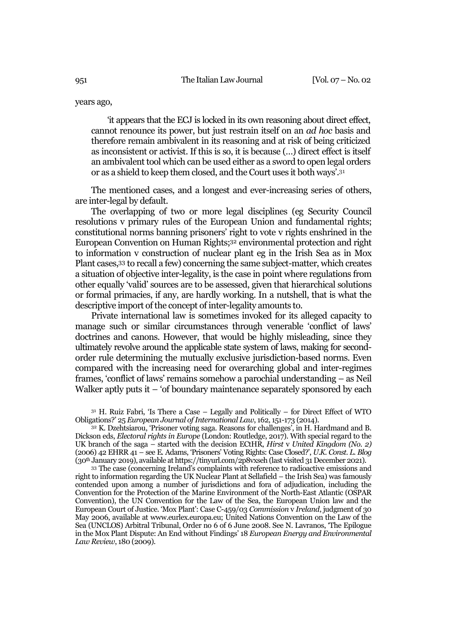#### years ago,

'it appears that the ECJ is locked in its own reasoning about direct effect, cannot renounce its power, but just restrain itself on an *ad hoc* basis and therefore remain ambivalent in its reasoning and at risk of being criticized as inconsistent or activist. If this is so, it is because (…) direct effect is itself an ambivalent tool which can be used either as a sword to open legal orders or as a shield to keep them closed, and the Court uses it both ways'.<sup>31</sup>

The mentioned cases, and a longest and ever-increasing series of others, are inter-legal by default.

The overlapping of two or more legal disciplines (eg Security Council resolutions v primary rules of the European Union and fundamental rights; constitutional norms banning prisoners' right to vote v rights enshrined in the European Convention on Human Rights;<sup>32</sup> environmental protection and right to information v construction of nuclear plant eg in the Irish Sea as in Mox Plant cases,<sup>33</sup> to recall a few) concerning the same subject-matter, which creates a situation of objective inter-legality, is the case in point where regulations from other equally 'valid' sources are to be assessed, given that hierarchical solutions or formal primacies, if any, are hardly working. In a nutshell, that is what the descriptive import of the concept of inter-legality amounts to.

Private international law is sometimes invoked for its alleged capacity to manage such or similar circumstances through venerable 'conflict of laws' doctrines and canons. However, that would be highly misleading, since they ultimately revolve around the applicable state system of laws, making for secondorder rule determining the mutually exclusive jurisdiction-based norms. Even compared with the increasing need for overarching global and inter-regimes frames, 'conflict of laws' remains somehow a parochial understanding – as Neil Walker aptly puts it – 'of boundary maintenance separately sponsored by each

 $31$  H. Ruiz Fabri, 'Is There a Case – Legally and Politically – for Direct Effect of WTO Obligations?' 25 *European Journal ofInternational Law*, 162, 151-173 (2014).

<sup>32</sup> K. Dzehtsiarou, 'Prisoner voting saga. Reasons for challenges', in H. Hardmand and B. Dickson eds, *Electoral rights in Europe* (London: Routledge, 2017). With special regard to the UK branch of the saga – started with the decision ECtHR, *Hirst* v *[United Kingdom \(No.](http://www.bailii.org/eu/cases/ECHR/2005/681.html) 2)* (2006) 42 EHRR 41 – see E. Adams, 'Prisoners' Voting Rights: Case Closed?', *U.K. Const. L. Blog* (30th January 2019), available a[t https://tinyurl.com/2p8vxseh](https://tinyurl.com/2p8vxseh) (last visited 31 December 2021).

<sup>33</sup> The case (concerning Ireland's complaints with reference to radioactive emissions and right to information regarding the UK Nuclear Plant at Sellafield – the Irish Sea) was famously contended upon among a number of jurisdictions and fora of adjudication, including the Convention for the Protection of the Marine Environment of the North-East Atlantic (OSPAR Convention), the UN Convention for the Law of the Sea, the European Union law and the European Court of Justice. 'Mox Plant': Case C-459/03 *Commission* v *Ireland*, judgment of 30 May 2006, available at www.eurlex.europa.eu; United Nations Convention on the Law of the Sea (UNCLOS) Arbitral Tribunal, Order no 6 of 6 June 2008. See N. Lavranos, 'The Epilogue in the Mox Plant Dispute: An End without Findings' 18 *European Energy and Environmental Law Review*, 180 (2009).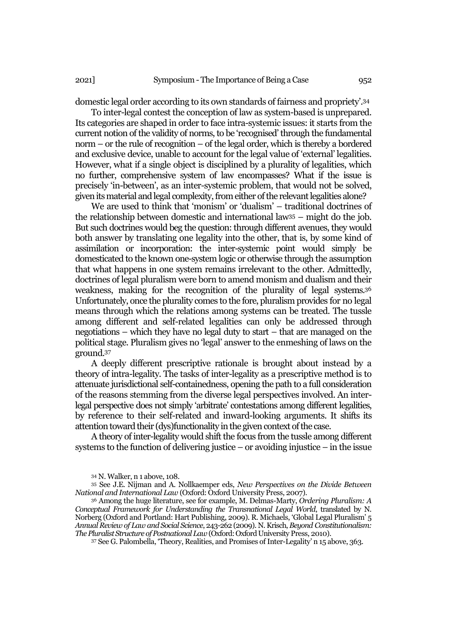domestic legal order according to its own standards of fairness and propriety'.<sup>34</sup>

To inter-legal contest the conception of law as system-based is unprepared. Its categories are shaped in order to face intra*-*systemic issues: it starts from the current notion of the validity of norms, to be 'recognised' through the fundamental norm – or the rule of recognition – of the legal order, which is thereby a bordered and exclusive device, unable to account for the legal value of 'external' legalities. However, what if a single object is disciplined by a plurality of legalities, which no further, comprehensive system of law encompasses? What if the issue is precisely 'in-between', as an inter*-*systemic problem, that would not be solved, given its material and legal complexity, from either of the relevant legalities alone?

We are used to think that 'monism' or 'dualism' – traditional doctrines of the relationship between domestic and international law<sup>35</sup> – might do the job. But such doctrines would beg the question: through different avenues, they would both answer by translating one legality into the other, that is, by some kind of assimilation or incorporation: the inter-systemic point would simply be domesticated to the known one-system logic or otherwise through the assumption that what happens in one system remains irrelevant to the other. Admittedly, doctrines of legal pluralism were born to amend monism and dualism and their weakness, making for the recognition of the plurality of legal systems.<sup>36</sup> Unfortunately, once the plurality comes to the fore, pluralism provides for no legal means through which the relations among systems can be treated. The tussle among different and self-related legalities can only be addressed through negotiations – which they have no legal duty to start – that are managed on the political stage. Pluralism gives no 'legal' answer to the enmeshing of laws on the ground. 37

A deeply different prescriptive rationale is brought about instead by a theory of intra-legality. The tasks of inter-legality as a prescriptive method is to attenuate jurisdictional self-containedness, opening the path to a full consideration of the reasons stemming from the diverse legal perspectives involved. An interlegal perspective does not simply 'arbitrate' contestations among different legalities, by reference to their self-related and inward-looking arguments. It shifts its attention toward their (dys)functionality in the given context of the case.

A theory of inter-legality would shift the focus from the tussle among different systems to the function of delivering justice – or avoiding injustice – in the issue

<sup>34</sup> N. Walker, n 1 above, 108.

<sup>35</sup> See J.E. Nijman and A. Nollkaemper eds, *New Perspectives on the Divide Between National and International Law* (Oxford: Oxford University Press, 2007).

<sup>36</sup> Among the huge literature, see for example, M. Delmas-Marty, *Ordering Pluralism: A Conceptual Framework for Understanding the Transnational Legal World*, translated by N. Norberg (Oxford and Portland: Hart Publishing, 2009). R. Michaels, 'Global Legal Pluralism' 5 *Annual Review of Law and Social Science*, 243-262 (2009). N. Krisch, *Beyond Constitutionalism: The Pluralist Structure of Postnational Law* (Oxford: Oxford University Press, 2010).

<sup>37</sup> See G. Palombella, 'Theory, Realities, and Promises of Inter-Legality' n 15 above, 363.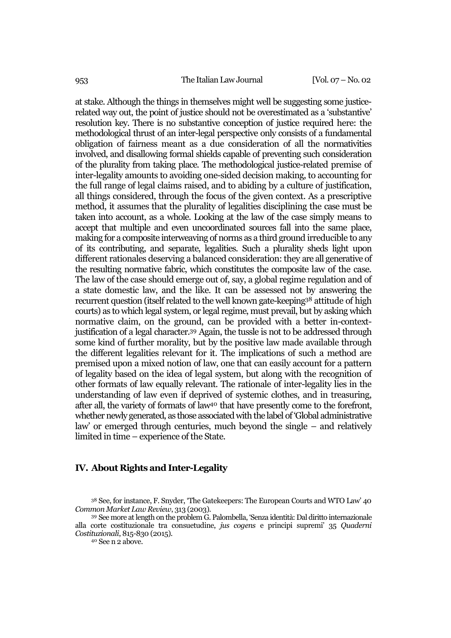at stake. Although the things in themselves might well be suggesting some justicerelated way out, the point of justice should not be overestimated as a 'substantive' resolution key. There is no substantive conception of justice required here: the methodological thrust of an inter-legal perspective only consists of a fundamental obligation of fairness meant as a due consideration of all the normativities involved, and disallowing formal shields capable of preventing such consideration of the plurality from taking place. The methodological justice-related premise of inter-legality amounts to avoiding one-sided decision making, to accounting for the full range of legal claims raised, and to abiding by a culture of justification, all things considered, through the focus of the given context. As a prescriptive method, it assumes that the plurality of legalities disciplining the case must be taken into account, as a whole. Looking at the law of the case simply means to accept that multiple and even uncoordinated sources fall into the same place, making for a composite interweaving of norms as a third ground irreducible to any of its contributing, and separate, legalities. Such a plurality sheds light upon different rationales deserving a balanced consideration: they are all generative of the resulting normative fabric, which constitutes the composite law of the case. The law of the case should emerge out of, say, a global regime regulation and of a state domestic law, and the like. It can be assessed not by answering the recurrent question (itself related to the well known gate-keeping<sup>38</sup> attitude of high courts) as to which legal system, or legal regime, must prevail, but by asking which normative claim, on the ground, can be provided with a better in-contextjustification of a legal character.<sup>39</sup> Again, the tussle is not to be addressed through some kind of further morality, but by the positive law made available through the different legalities relevant for it. The implications of such a method are premised upon a mixed notion of law, one that can easily account for a pattern of legality based on the idea of legal system, but along with the recognition of other formats of law equally relevant. The rationale of inter-legality lies in the understanding of law even if deprived of systemic clothes, and in treasuring, after all, the variety of formats of law<sup>40</sup> that have presently come to the forefront, whether newly generated, as those associated with the label of 'Global administrative law' or emerged through centuries, much beyond the single – and relatively limited in time – experience of the State.

## **IV. About Rights and Inter-Legality**

<sup>38</sup> See, for instance, F. Snyder, 'The Gatekeepers: The European Courts and WTO Law' 40 *Common Market Law Review*, 313 (2003).

<sup>39</sup> See more at length on the problem G. Palombella, 'Senza identità: Dal diritto internazionale alla corte costituzionale tra consuetudine, *jus cogens* e principi supremi' 35 *[Quaderni](https://www.scopus.com/sourceid/21100395705?origin=resultslist)  [Costituzionali](https://www.scopus.com/sourceid/21100395705?origin=resultslist)*, 815-830 (2015).

<sup>40</sup> See n 2 above.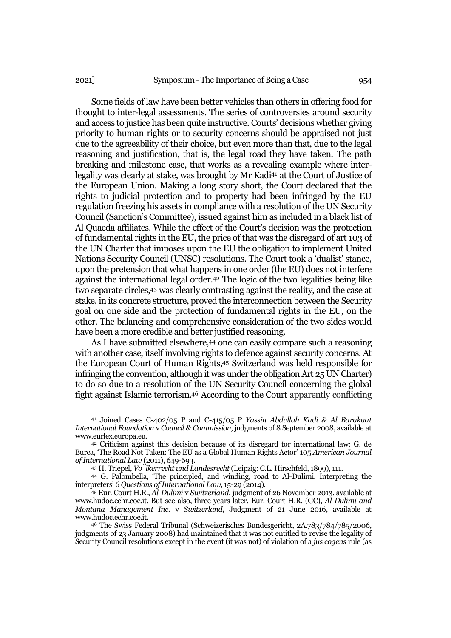Some fields of law have been better vehicles than others in offering food for thought to inter-legal assessments. The series of controversies around security and access to justice has been quite instructive. Courts' decisions whether giving priority to human rights or to security concerns should be appraised not just due to the agreeability of their choice, but even more than that, due to the legal reasoning and justification, that is, the legal road they have taken. The path breaking and milestone case, that works as a revealing example where interlegality was clearly at stake, was brought by Mr Kadi<sup>41</sup> at the Court of Justice of the European Union. Making a long story short, the Court declared that the rights to judicial protection and to property had been infringed by the EU regulation freezing his assets in compliance with a resolution of the UN Security Council (Sanction's Committee), issued against him as included in a black list of Al Quaeda affiliates. While the effect of the Court's decision was the protection of fundamental rights in the EU, the price of that was the disregard of art 103 of the UN Charter that imposes upon the EU the obligation to implement United Nations Security Council (UNSC) resolutions. The Court took a 'dualist' stance, upon the pretension that what happens in one order (the EU) does not interfere against the international legal order.<sup>42</sup> The logic of the two legalities being like two separate circles,<sup>43</sup> was clearly contrasting against the reality, and the case at stake, in its concrete structure, proved the interconnection between the Security goal on one side and the protection of fundamental rights in the EU, on the other. The balancing and comprehensive consideration of the two sides would have been a more credible and better justified reasoning.

As I have submitted elsewhere, <sup>44</sup> one can easily compare such a reasoning with another case, itself involving rights to defence against security concerns. At the European Court of Human Rights,<sup>45</sup> Switzerland was held responsible for infringing the convention, although it was under the obligation Art 25 UN Charter) to do so due to a resolution of the UN Security Council concerning the global fight against Islamic terrorism.<sup>46</sup> According to the Court apparently conflicting

<sup>41</sup> Joined Cases C-402/05 P and C-415/05 P *Yassin Abdullah Kadi & Al Barakaat International Foundation* v *Council & Commission*, judgments of 8 September 2008, available at www.eurlex.europa.eu.

<sup>42</sup> Criticism against this decision because of its disregard for international law: G. de Burca, 'The Road Not Taken: The EU as a Global Human Rights Actor' 105 *American Journal of International Law* (2011), 649-693.

<sup>43</sup> H. Triepel, *Völkerrecht und Landesrecht*(Leipzig: C.L. Hirschfeld, 1899), 111.

<sup>44</sup> G. Palombella, 'The principled, and winding, road to Al-Dulimi. Interpreting the interpreters' 6 *Questions of International Law*, 15-29 (2014).

<sup>45</sup> Eur. Court H.R., *Al-Dulimi* v *Switzerland*, judgment of 26 November 2013, available at www.hudoc.echr.coe.it. But see also, three years later, Eur. Court H.R. (GC), *Al-Dulimi and Montana Management Inc.* v *Switzerland*, Judgment of 21 June 2016, available at www.hudoc.echr.coe.it.

<sup>46</sup> The Swiss Federal Tribunal (Schweizerisches Bundesgericht, 2A.783/784/785/2006, judgments of 23 January 2008) had maintained that it was not entitled to revise the legality of Security Council resolutions except in the event (it was not) of violation of a *jus cogens* rule (as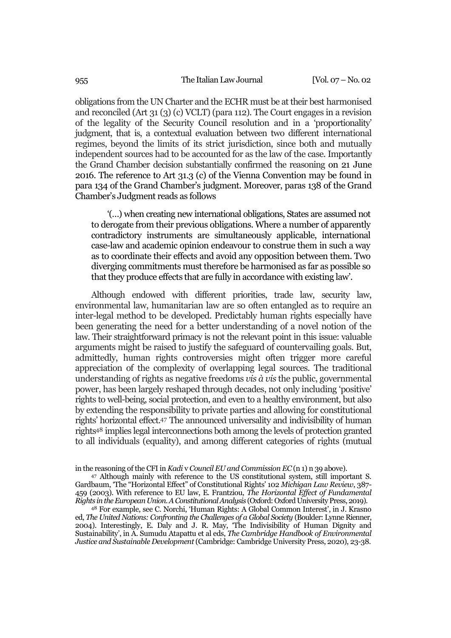obligations from the UN Charter and the ECHR must be at their best harmonised and reconciled (Art 31 (3) (c) VCLT) (para 112). The Court engages in a revision of the legality of the Security Council resolution and in a 'proportionality' judgment, that is, a contextual evaluation between two different international regimes, beyond the limits of its strict jurisdiction, since both and mutually independent sources had to be accounted for as the law of the case. Importantly the Grand Chamber decision substantially confirmed the reasoning on 21 June 2016. The reference to Art 31.3 (c) of the Vienna Convention may be found in para 134 of the Grand Chamber's judgment. Moreover, paras 138 of the Grand Chamber's Judgment reads as follows

'(…) when creating new international obligations, States are assumed not to derogate from their previous obligations. Where a number of apparently contradictory instruments are simultaneously applicable, international case-law and academic opinion endeavour to construe them in such a way as to coordinate their effects and avoid any opposition between them. Two diverging commitments must therefore be harmonised as far as possible so that they produce effects that are fully in accordance with existing law'*.*

Although endowed with different priorities, trade law, security law, environmental law, humanitarian law are so often entangled as to require an inter-legal method to be developed. Predictably human rights especially have been generating the need for a better understanding of a novel notion of the law. Their straightforward primacy is not the relevant point in this issue: valuable arguments might be raised to justify the safeguard of countervailing goals. But, admittedly, human rights controversies might often trigger more careful appreciation of the complexity of overlapping legal sources. The traditional understanding of rights as negative freedoms *vis à vis* the public, governmental power, has been largely reshaped through decades, not only including 'positive' rights to well-being, social protection, and even to a healthy environment, but also by extending the responsibility to private parties and allowing for constitutional rights' horizontal effect.<sup>47</sup> The announced universality and indivisibility of human rights<sup>48</sup> implies legal interconnections both among the levels of protection granted to all individuals (equality), and among different categories of rights (mutual

in the reasoning of the CFI in *Kadi* v *Council EU and Commission EC* (n 1) n 39 above).

<sup>47</sup> Although mainly with reference to the US constitutional system, still important S. Gardbaum, 'The "Horizontal Effect" of Constitutional Rights' 102 *Michigan Law Review*, 387- 459 (2003). With reference to EU law, E. Frantziou, *The Horizontal Effect of Fundamental Rights in the European Union. A Constitutional Analysis* (Oxford: Oxford University Press, 2019).

<sup>48</sup> For example, see C. Norchi, 'Human Rights: A Global Common Interest', in J. Krasno ed, *The United Nations: Confronting the Challenges of a Global Society* (Boulder: Lynne Rienner, 2004). Interestingly, E. [Daly](file://///core/search%253ffilters%25255BauthorTerms%25255D=Erin%20Daly&eventCode=SE-AU) and J. R. [May](file://///core/search%253ffilters%25255BauthorTerms%25255D=James%20R.%20May&eventCode=SE-AU), 'The Indivisibility of Human Dignity and Sustainability', in A. Sumudu [Atapattu](file://///core/search%253ffilters%25255BauthorTerms%25255D=Sumudu%20A.%20Atapattu&eventCode=SE-AU) et al eds, *The Cambridge Handbook of Environmental Justice and Sustainable Development*(Cambridge: Cambridge University Press, 2020), 23-38.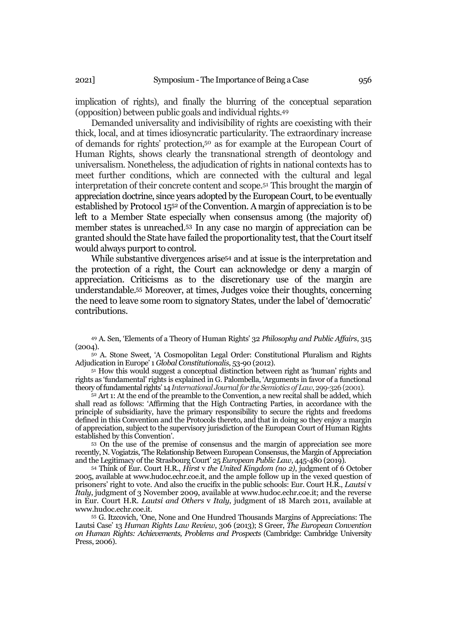implication of rights), and finally the blurring of the conceptual separation (opposition) between public goals and individual rights.<sup>49</sup>

Demanded universality and indivisibility of rights are coexisting with their thick, local, and at times idiosyncratic particularity. The extraordinary increase of demands for rights' protection,<sup>50</sup> as for example at the European Court of Human Rights, shows clearly the transnational strength of deontology and universalism. Nonetheless, the adjudication of rights in national contexts has to meet further conditions, which are connected with the cultural and legal interpretation of their concrete content and scope.<sup>51</sup> This brought the margin of appreciation doctrine, since years adopted by the European Court, to be eventually established by Protocol 15<sup>52</sup> of the Convention. A margin of appreciation is to be left to a Member State especially when consensus among (the majority of) member states is unreached.<sup>53</sup> In any case no margin of appreciation can be granted should the State have failed the proportionality test, that the Court itself would always purport to control.

While substantive divergences arise<sup>54</sup> and at issue is the interpretation and the protection of a right, the Court can acknowledge or deny a margin of appreciation. Criticisms as to the discretionary use of the margin are understandable.<sup>55</sup> Moreover, at times, Judges voice their thoughts, concerning the need to leave some room to signatory States, under the label of 'democratic' contributions.

<sup>49</sup> A. Sen, 'Elements of a Theory of Human Rights' 32 *Philosophy and Public Affairs*, 315 (2004).

<sup>50</sup> A. Stone Sweet, 'A Cosmopolitan Legal Order: Constitutional Pluralism and Rights Adjudication in Europe' 1 *Global Constitutionalis*, 53-90 (2012).

<sup>51</sup> How this would suggest a conceptual distinction between right as 'human' rights and rights as 'fundamental' rights is explained in G. Palombella, 'Arguments in favor of a functional theory of fundamental rights' 14 *[International Journal for the Semiotics of Law](https://www.scopus.com/sourceid/145539?origin=resultslist)*, 299-326 (2001).

<sup>52</sup> Art 1: At the end of the preamble to the Convention, a new recital shall be added, which shall read as follows: 'Affirming that the High Contracting Parties, in accordance with the principle of subsidiarity, have the primary responsibility to secure the rights and freedoms defined in this Convention and the Protocols thereto, and that in doing so they enjoy a margin of appreciation, subject to the supervisory jurisdiction of the European Court of Human Rights established by this Convention'.

<sup>53</sup> On the use of the premise of consensus and the margin of appreciation see more recently, N. Vogiatzis, 'The Relationship Between European Consensus, the Margin of Appreciation and the Legitimacy of the Strasbourg Court' 25 *[European Public Law](https://kluwerlawonline.com/Journals/European+Public+Law/411)*, 445-480 (2019).

<sup>54</sup> Think of Eur. Court H.R., *Hirst* v *the United Kingdom (no 2)*, judgment of 6 October 2005, available at www.hudoc.echr.coe.it, and the ample follow up in the vexed question of prisoners' right to vote. And also the crucifix in the public schools: Eur. Court H.R., *Lautsi* v *Italy*, judgment of 3 November 2009, available at www.hudoc.echr.coe.it; and the reverse in Eur. Court H.R. *Lautsi and Others* v *Italy*, judgment of 18 March 2011, available at www.hudoc.echr.coe.it.

<sup>55</sup> G. Itzcovich, 'One, None and One Hundred Thousands Margins of Appreciations: The Lautsi Case' 13 *Human Rights Law Review*, 306 (2013); S Greer, *The European Convention on Human Rights: Achievements, Problems and Prospects* (Cambridge: Cambridge University Press, 2006).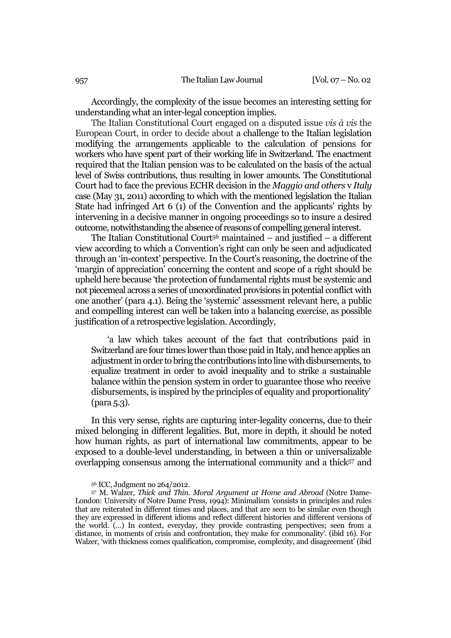Accordingly, the complexity of the issue becomes an interesting setting for understanding what an inter-legal conception implies.

The Italian Constitutional Court engaged on a disputed issue *vis à vis* the European Court, in order to decide about a challenge to the Italian legislation modifying the arrangements applicable to the calculation of pensions for workers who have spent part of their working life in Switzerland. The enactment required that the Italian pension was to be calculated on the basis of the actual level of Swiss contributions, thus resulting in lower amounts. The Constitutional Court had to face the previous ECHR decision in the *Maggio and others* v *Italy* case (May 31, 2011) according to which with the mentioned legislation the Italian State had infringed Art 6 (1) of the Convention and the applicants' rights by intervening in a decisive manner in ongoing proceedings so to insure a desired outcome, notwithstanding the absence of reasons of compelling general interest.

The Italian Constitutional Court<sup>56</sup> maintained – and justified – a different view according to which a Convention's right can only be seen and adjudicated through an 'in-context' perspective. In the Court's reasoning, the doctrine of the 'margin of appreciation' concerning the content and scope of a right should be upheld here because 'the protection of fundamental rights must be systemic and not piecemeal across a series of uncoordinated provisions in potential conflict with one another' (para 4.1). Being the 'systemic' assessment relevant here, a public and compelling interest can well be taken into a balancing exercise, as possible justification of a retrospective legislation. Accordingly,

'a law which takes account of the fact that contributions paid in Switzerland are four times lower than those paid in Italy, and hence applies an adjustment in order to bring the contributions into line with disbursements, to equalize treatment in order to avoid inequality and to strike a sustainable balance within the pension system in order to guarantee those who receive disbursements, is inspired by the principles of equality and proportionality' (para 5.3).

In this very sense, rights are capturing inter-legality concerns, due to their mixed belonging in different legalities. But, more in depth, it should be noted how human rights, as part of international law commitments, appear to be exposed to a double-level understanding, in between a thin or universalizable overlapping consensus among the international community and a thick<sup>57</sup> and

<sup>56</sup> ICC, Judgment no 264/2012.

<sup>57</sup> M. Walzer, *Thick and Thin. Moral Argument at Home and Abroad* (Notre Dame-London: University of Notre Dame Press, 1994): Minimalism 'consists in principles and rules that are reiterated in different times and places, and that are seen to be similar even though they are expressed in different idioms and reflect different histories and different versions of the world. (…) In context, everyday, they provide contrasting perspectives; seen from a distance, in moments of crisis and confrontation, they make for commonality'. (ibid 16). For Walzer, 'with thickness comes qualification, compromise, complexity, and disagreement' (ibid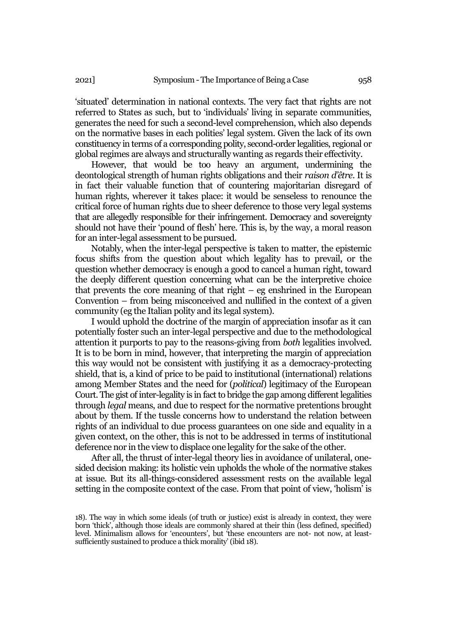'situated' determination in national contexts. The very fact that rights are not referred to States as such, but to 'individuals' living in separate communities, generates the need for such a second-level comprehension, which also depends on the normative bases in each polities' legal system. Given the lack of its own constituency in terms of a corresponding polity, second-order legalities, regional or global regimes are always and structurally wanting as regards their effectivity.

However, that would be too heavy an argument, undermining the deontological strength of human rights obligations and their *raison d'être*. It is in fact their valuable function that of countering majoritarian disregard of human rights, wherever it takes place: it would be senseless to renounce the critical force of human rights due to sheer deference to those very legal systems that are allegedly responsible for their infringement. Democracy and sovereignty should not have their 'pound of flesh' here. This is, by the way, a moral reason for an inter-legal assessment to be pursued.

Notably, when the inter-legal perspective is taken to matter, the epistemic focus shifts from the question about which legality has to prevail, or the question whether democracy is enough a good to cancel a human right, toward the deeply different question concerning what can be the interpretive choice that prevents the core meaning of that right – eg enshrined in the European Convention – from being misconceived and nullified in the context of a given community (eg the Italian polity and its legal system).

I would uphold the doctrine of the margin of appreciation insofar as it can potentially foster such an inter-legal perspective and due to the methodological attention it purports to pay to the reasons-giving from *both* legalities involved. It is to be born in mind, however, that interpreting the margin of appreciation this way would not be consistent with justifying it as a democracy-protecting shield, that is, a kind of price to be paid to institutional (international) relations among Member States and the need for (*political*) legitimacy of the European Court. The gist of inter-legality is in fact to bridge the gap among different legalities through *legal* means, and due to respect for the normative pretentions brought about by them. If the tussle concerns how to understand the relation between rights of an individual to due process guarantees on one side and equality in a given context, on the other, this is not to be addressed in terms of institutional deference nor in the view to displace one legality for the sake of the other.

After all, the thrust of inter-legal theory lies in avoidance of unilateral, onesided decision making: its holistic vein upholds the whole of the normative stakes at issue. But its all-things-considered assessment rests on the available legal setting in the composite context of the case. From that point of view, 'holism' is

<sup>18).</sup> The way in which some ideals (of truth or justice) exist is already in context, they were born 'thick', although those ideals are commonly shared at their thin (less defined, specified) level. Minimalism allows for 'encounters', but 'these encounters are not- not now, at leastsufficiently sustained to produce a thick morality' (ibid 18).